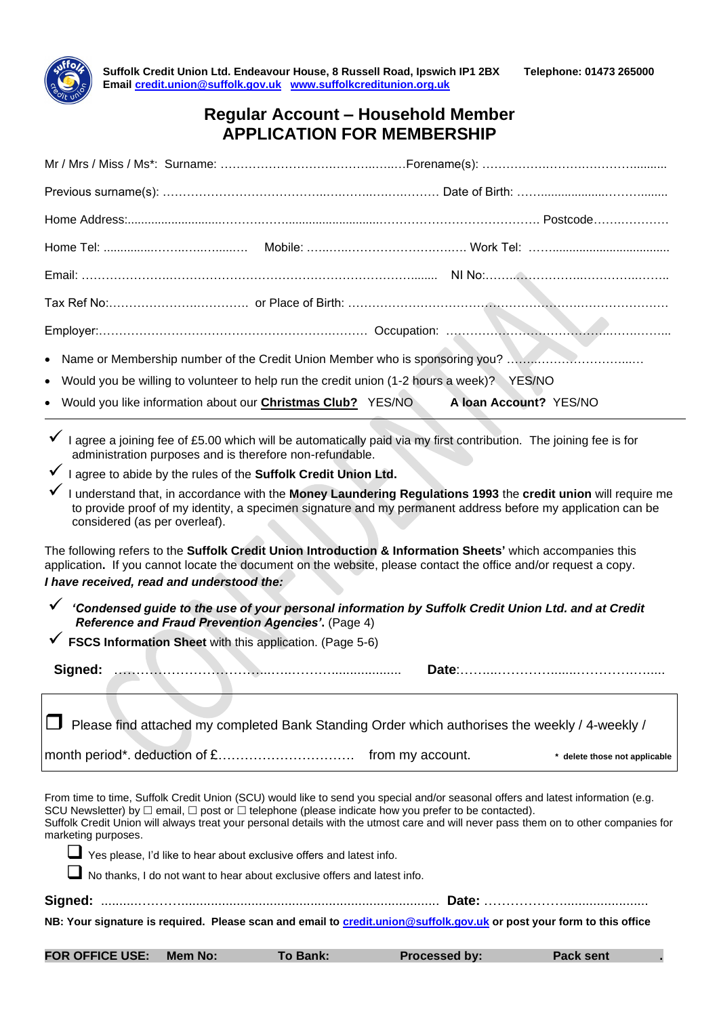

### **Regular Account – Household Member APPLICATION FOR MEMBERSHIP**

| $\bullet$                                                                                                                                                                                                                                                                  |                |                                                                                                                                                  |               | Name or Membership number of the Credit Union Member who is sponsoring you?                                                                                                                                                                                              |
|----------------------------------------------------------------------------------------------------------------------------------------------------------------------------------------------------------------------------------------------------------------------------|----------------|--------------------------------------------------------------------------------------------------------------------------------------------------|---------------|--------------------------------------------------------------------------------------------------------------------------------------------------------------------------------------------------------------------------------------------------------------------------|
|                                                                                                                                                                                                                                                                            |                | Would you be willing to volunteer to help run the credit union (1-2 hours a week)? YES/NO                                                        |               |                                                                                                                                                                                                                                                                          |
|                                                                                                                                                                                                                                                                            |                | Would you like information about our <b>Christmas Club?</b> YES/NO                                                                               |               | A loan Account? YES/NO                                                                                                                                                                                                                                                   |
| $\checkmark$                                                                                                                                                                                                                                                               |                | administration purposes and is therefore non-refundable.                                                                                         |               | I agree a joining fee of £5.00 which will be automatically paid via my first contribution. The joining fee is for                                                                                                                                                        |
|                                                                                                                                                                                                                                                                            |                | I agree to abide by the rules of the Suffolk Credit Union Ltd.                                                                                   |               |                                                                                                                                                                                                                                                                          |
| considered (as per overleaf).                                                                                                                                                                                                                                              |                |                                                                                                                                                  |               | I understand that, in accordance with the Money Laundering Regulations 1993 the credit union will require me<br>to provide proof of my identity, a specimen signature and my permanent address before my application can be                                              |
| The following refers to the Suffolk Credit Union Introduction & Information Sheets' which accompanies this<br>application. If you cannot locate the document on the website, please contact the office and/or request a copy.<br>I have received, read and understood the: |                |                                                                                                                                                  |               |                                                                                                                                                                                                                                                                          |
|                                                                                                                                                                                                                                                                            |                | Reference and Fraud Prevention Agencies'. (Page 4)                                                                                               |               | 'Condensed guide to the use of your personal information by Suffolk Credit Union Ltd. and at Credit                                                                                                                                                                      |
| $\checkmark$ FSCS Information Sheet with this application. (Page 5-6)                                                                                                                                                                                                      |                |                                                                                                                                                  |               |                                                                                                                                                                                                                                                                          |
| Signed:                                                                                                                                                                                                                                                                    |                |                                                                                                                                                  |               |                                                                                                                                                                                                                                                                          |
|                                                                                                                                                                                                                                                                            |                |                                                                                                                                                  |               | Please find attached my completed Bank Standing Order which authorises the weekly / 4-weekly /                                                                                                                                                                           |
|                                                                                                                                                                                                                                                                            |                |                                                                                                                                                  |               | * delete those not applicable                                                                                                                                                                                                                                            |
| SCU Newsletter) by $\Box$ email, $\Box$ post or $\Box$ telephone (please indicate how you prefer to be contacted).<br>marketing purposes.                                                                                                                                  |                | Yes please, I'd like to hear about exclusive offers and latest info.<br>No thanks, I do not want to hear about exclusive offers and latest info. |               | From time to time, Suffolk Credit Union (SCU) would like to send you special and/or seasonal offers and latest information (e.g.<br>Suffolk Credit Union will always treat your personal details with the utmost care and will never pass them on to other companies for |
|                                                                                                                                                                                                                                                                            |                |                                                                                                                                                  |               |                                                                                                                                                                                                                                                                          |
|                                                                                                                                                                                                                                                                            |                |                                                                                                                                                  |               | NB: Your signature is required. Please scan and email to credit.union@suffolk.gov.uk or post your form to this office                                                                                                                                                    |
| <b>FOR OFFICE USE:</b>                                                                                                                                                                                                                                                     | <b>Mem No:</b> | To Bank:                                                                                                                                         | Processed by: | <b>Pack sent</b>                                                                                                                                                                                                                                                         |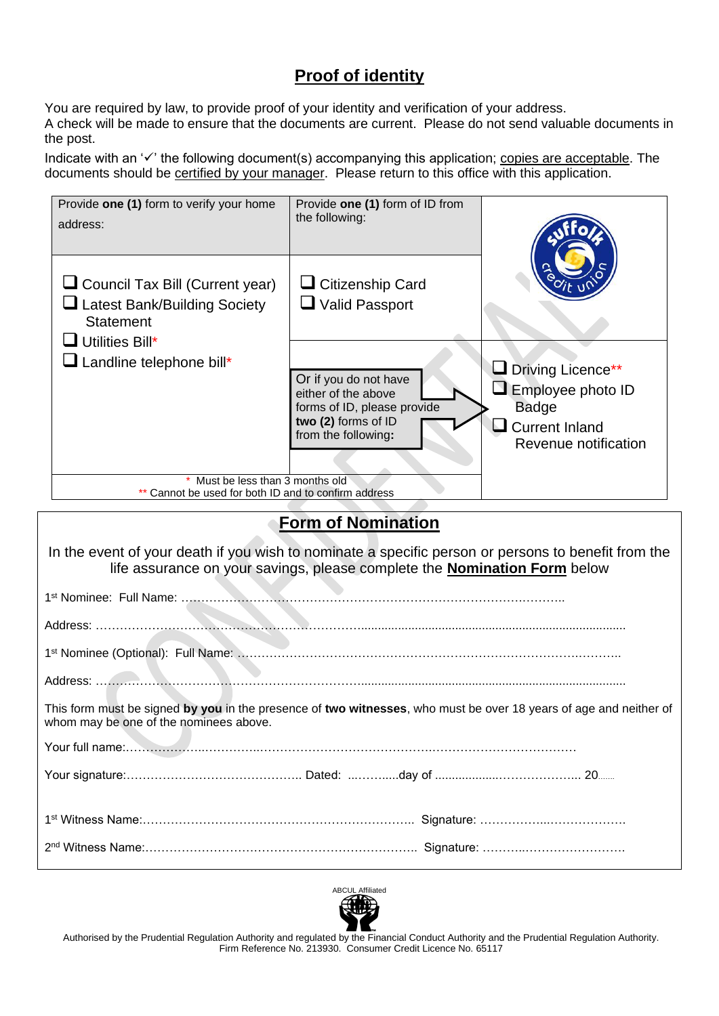## **Proof of identity**

You are required by law, to provide proof of your identity and verification of your address.

A check will be made to ensure that the documents are current. Please do not send valuable documents in the post.

Indicate with an '✓' the following document(s) accompanying this application; copies are acceptable. The documents should be certified by your manager. Please return to this office with this application.

| Provide one (1) form to verify your home<br>address:                                                                                                     | Provide one (1) form of ID from<br>the following:                                                                                                                             |                                                                                                                       |
|----------------------------------------------------------------------------------------------------------------------------------------------------------|-------------------------------------------------------------------------------------------------------------------------------------------------------------------------------|-----------------------------------------------------------------------------------------------------------------------|
| $\Box$ Council Tax Bill (Current year)<br>Latest Bank/Building Society<br><b>Statement</b><br>Utilities Bill*<br>$\blacksquare$ Landline telephone bill* | $\Box$ Citizenship Card<br>$\Box$ Valid Passport<br>Or if you do not have<br>either of the above<br>forms of ID, please provide<br>two (2) forms of ID<br>from the following: | $\Box$ Driving Licence**<br>$\Box$ Employee photo ID<br><b>Badge</b><br><b>Current Inland</b><br>Revenue notification |
| Must be less than 3 months old                                                                                                                           |                                                                                                                                                                               |                                                                                                                       |
| Cannot be used for both ID and to confirm address                                                                                                        |                                                                                                                                                                               |                                                                                                                       |

# **Form of Nomination**

| In the event of your death if you wish to nominate a specific person or persons to benefit from the<br>life assurance on your savings, please complete the <b>Nomination Form</b> below |  |  |  |
|-----------------------------------------------------------------------------------------------------------------------------------------------------------------------------------------|--|--|--|
|                                                                                                                                                                                         |  |  |  |
|                                                                                                                                                                                         |  |  |  |
|                                                                                                                                                                                         |  |  |  |
|                                                                                                                                                                                         |  |  |  |
| This form must be signed by you in the presence of two witnesses, who must be over 18 years of age and neither of<br>whom may be one of the nominees above.                             |  |  |  |
|                                                                                                                                                                                         |  |  |  |
|                                                                                                                                                                                         |  |  |  |
|                                                                                                                                                                                         |  |  |  |
|                                                                                                                                                                                         |  |  |  |



Authorised by the Prudential Regulation Authority and regulated by the Financial Conduct Authority and the Prudential Regulation Authority. Firm Reference No. 213930. Consumer Credit Licence No. 65117